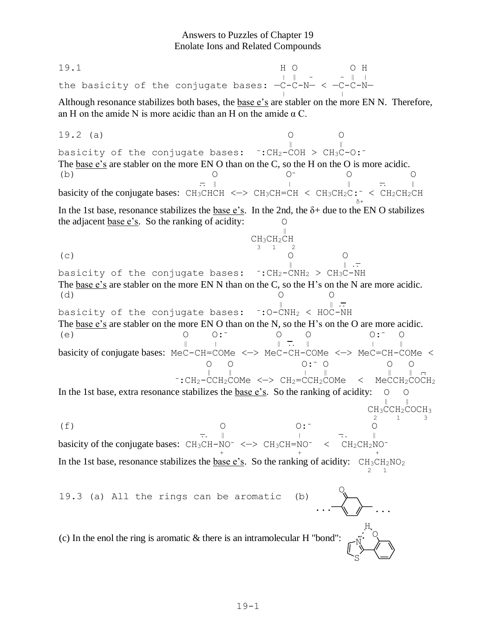## Answers to Puzzles of Chapter 19 Enolate Ions and Related Compounds

19.1 H O O H | dia | dia | dia | dia | dia | dia | dia | dia | dia | dia | dia | dia | dia | dia | dia | dia | dia | dia |<br>| dia | dia | dia | dia | dia | dia | dia | dia | dia | dia | dia | dia | dia | dia | dia | dia | dia | dia | the basicity of the conjugate bases:  $-C-C-N- < -C-N$ enc sabretef of the conjugate sabes.  $\frac{3}{5}$  or  $\frac{3}{5}$ Although resonance stabilizes both bases, the base  $e$ 's are stabler on the more EN N. Therefore, an H on the amide N is more acidic than an H on the amide  $\alpha$  C. 19.2 (a) O O  $\|$ basicity of the conjugate bases:  $\cdot :CH_2-COH > CH_3C-O:^-$ The base e's are stabler on the more EN O than on the C, so the H on the O is more acidic. (b) O O- O O  $\mathbb{R}^{\mathbb{N}}$  |  $\mathbb{R}^{\mathbb{N}}$  |  $\mathbb{R}^{\mathbb{N}}$  |  $\mathbb{R}^{\mathbb{N}}$  |  $\mathbb{R}^{\mathbb{N}}$  |  $\mathbb{R}^{\mathbb{N}}$  |  $\mathbb{R}^{\mathbb{N}}$  |  $\mathbb{R}^{\mathbb{N}}$  |  $\mathbb{R}^{\mathbb{N}}$  |  $\mathbb{R}^{\mathbb{N}}$  |  $\mathbb{R}^{\mathbb{N}}$  |  $\mathbb{R}^{\mathbb{N}}$  |  $\mathbb{$ basicity of the conjugate bases: CH<sub>3</sub>CHCH <-> CH<sub>3</sub>CH=CH < CH<sub>3</sub>CH<sub>2</sub>C: < CH<sub>2</sub>CH<sub>2</sub>CH <sup>δ</sup><sup>+</sup> In the 1st base, resonance stabilizes the base e's. In the 2nd, the  $\delta$ + due to the EN O stabilizes the adjacent base e's. So the ranking of acidity: O when  $\frac{600000}{2}$  is the funning of weakly. CH3CH2CH  $\frac{\text{CryC1}}{3}$  1 2 (c) O O  $\mathbb{R}$ . The set of  $\mathbb{R}$  is the set of  $\mathbb{R}$ . basicity of the conjugate bases:  $\cdot :CH_2-CNH_2 > CH_3C-NH$ The base e's are stabler on the more EN N than on the C, so the H's on the N are more acidic. (d) O O  $\frac{1}{\sqrt{1-\frac{1}{\sqrt{1-\frac{1}{\sqrt{1-\frac{1}{\sqrt{1-\frac{1}{\sqrt{1-\frac{1}{\sqrt{1-\frac{1}{\sqrt{1-\frac{1}{\sqrt{1-\frac{1}{\sqrt{1-\frac{1}{\sqrt{1-\frac{1}{\sqrt{1-\frac{1}{\sqrt{1-\frac{1}{\sqrt{1-\frac{1}{\sqrt{1-\frac{1}{\sqrt{1-\frac{1}{\sqrt{1-\frac{1}{\sqrt{1-\frac{1}{\sqrt{1-\frac{1}{\sqrt{1-\frac{1}{\sqrt{1-\frac{1}{\sqrt{1-\frac{1}{\sqrt{1-\frac{1}{\sqrt{1-\frac{1}{\sqrt{1-\frac{1$ basicity of the conjugate bases:  $\cdot : 0-\text{CNH}_2 \times \text{HOC-NH}$ The base e's are stabler on the more EN O than on the N, so the H's on the O are more acidic. (e) O O:- O O O:- O ‖<sup>|</sup> ‖ .. ‖ <sup>|</sup> ‖ basicity of conjugate bases: MeC-CH=COMe <—> MeC-CH-COMe <—> MeC=CH-COMe < O O O:- O O O ‖ ‖ <sup>|</sup> ‖ ‖ ‖ .. -:CH2-CCH2COMe <—> CH2=CCH2COMe < MeCCH2COCH<sup>2</sup> In the 1st base, extra resonance stabilizes the base e's. So the ranking of acidity:  $\circ$   $\circ$  $\frac{1}{\sqrt{2}}$ CH<sub>3</sub>CCH<sub>2</sub>COCH<sub>3</sub>  $\frac{\text{C13C01}}{2}$  1 3 (f) O O:- O  $\vec{r}$ .  $\vec{r}$  | ...  $\vec{r}$  | ...  $\vec{r}$  | ...  $\vec{r}$  | ...  $\vec{r}$  | ...  $\vec{r}$  | ...  $\vec{r}$  | ...  $\vec{r}$  | ...  $\vec{r}$  | ...  $\vec{r}$  | ...  $\vec{r}$  | ...  $\vec{r}$  | ...  $\vec{r}$  | ...  $\vec{r}$  | ...  $\vec{r}$  | ...  $\$ basicity of the conjugate bases:  $CH_3CH-NO^- \le -\ge CH_3CH=NO^- \le CH_2CH_2NO^-$  <sup>+</sup> <sup>+</sup> <sup>+</sup> In the 1st base, resonance stabilizes the base e's. So the ranking of acidity:  $CH_3CH_2NO_2$ m the Tot base, resonance submises the <u>base C<sub>D</sub></u>. So the running or detaily. Chrysle, O 19.3 (a) All the rings can be aromatic (b) ... ... N S O H (c) In the enol the ring is aromatic  $&$  there is an intramolecular H "bond":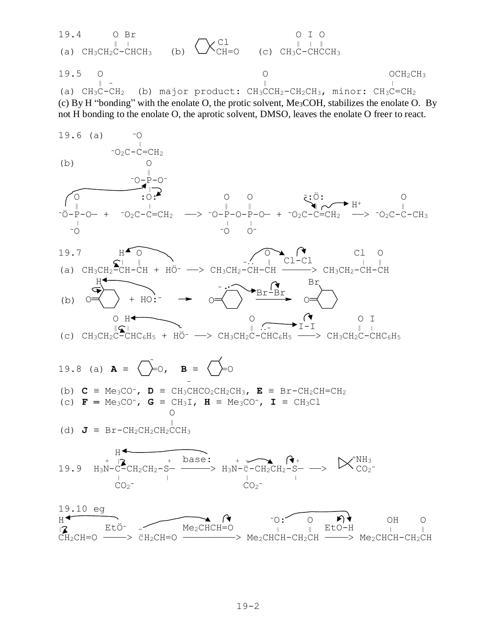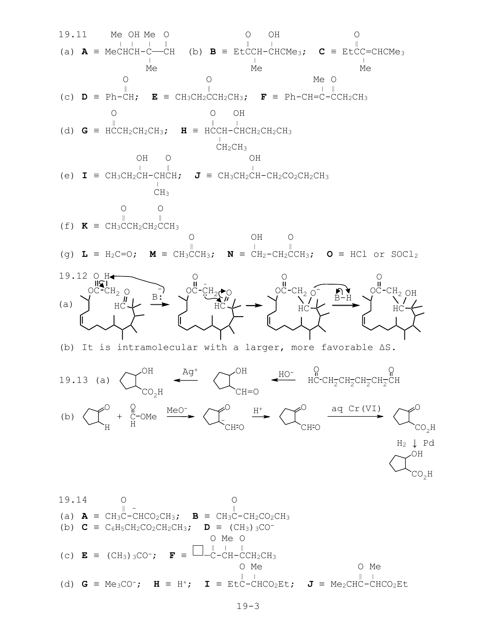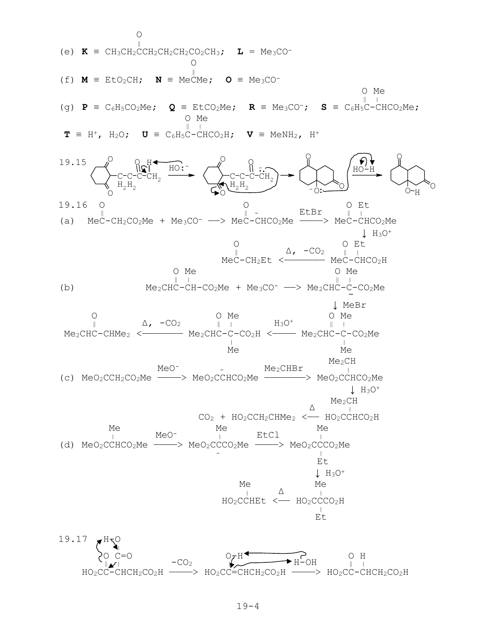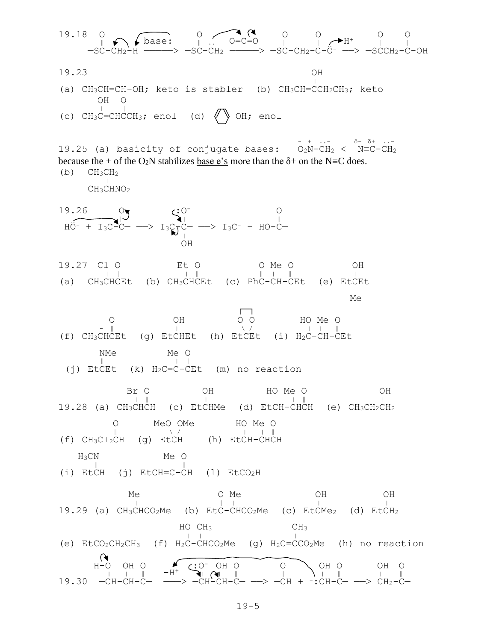19.18  
\n-SC-CEI<sub>2</sub> + 
$$
\frac{1}{2}
$$
 Base: 0  
\n-SC-CEI<sub>2</sub> +  $\frac{1}{2}$  C=CO<sub>2</sub> 0 0 0  
\n19.23  
\n(a) CH3CH=CH-OH; keto is stable  
\n(H) 0  
\n(e) CH3C=CHCOH; end (d) 0  
\n(e) CH3C=CHCOH; end (e) CH3CH=CHCOH; keto  
\n(e) CH3C=CHCOH; end (f) CH3CH=CHCOH; keto  
\n(g) CH3CHV<sub>2</sub>  
\nChO<sub>2</sub> + 13C<sub>2</sub>C<sub>2</sub> + 13C<sub>2</sub>C<sub>2</sub>  
\nH3.27 C1 0 EU 0  
\nH40-413C=CHCOH; end  
\nH5.28  
\nH60-413C=CHCOH; end  
\nH61-413C=CHCOH; end  
\nH7.29  
\nH80  
\nH9.20  
\nH19.21 C1 0 EU 0  
\nH19.22 C1 0 EU 0  
\nH19.23  
\nH19.24  
\nH19.25  
\nH19.27 C1 0 EU 0  
\nH19.28  
\nH19.29 (a) CH3CHCH  
\nH19.20  
\nH19.21 C1 0 EU 0  
\nH19.21 C1 0 EU 0  
\nH19.22 C1 0 EU 0  
\nH19.23  
\nH19.24  
\nH19.25  
\nH19.27 C1 0 EU 0  
\nH19.28  
\nH19.29 (a) CH3CHCH  
\nH19.20  
\nH19.20  
\nH19.21  
\nH19.22  
\nH19.23  
\nH19.24  
\nH19.25  
\nH19.26  
\nH19.27  
\nH19.28  
\nH19.29  
\nH19.20  
\nH19.21  
\nH19.21  
\nH19.22  
\nH19.23  
\nH19.24  
\nH19.25  
\nH19.26  
\nH19.27  
\nH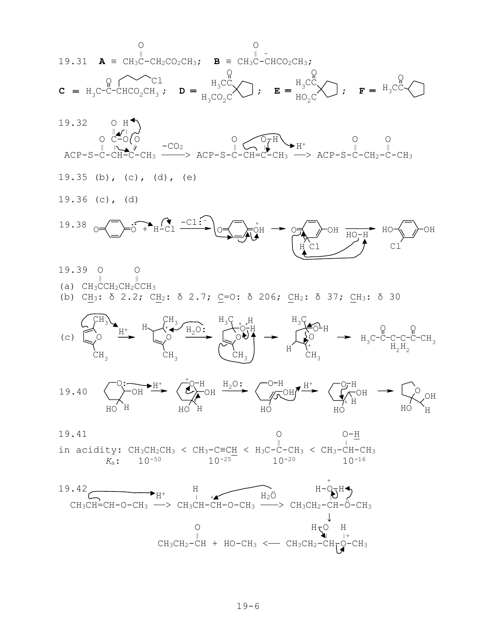



19.35 (b), (c), (d), (e) 19.36 (c), (d) 19.38  $_{\text{O}} = \sqrt{ } \rightarrow \text{O} + H - \text{Cl}$   $\rightarrow \text{O} + H - \text{Cl}$   $\rightarrow \text{O} + H - \text{O}$ H Cl OH Cl HO HO-H



 $CH_3CH_2-CH$  +  $HO-CH_3$  <——  $CH_3CH_2-CH_7Q-CH_3$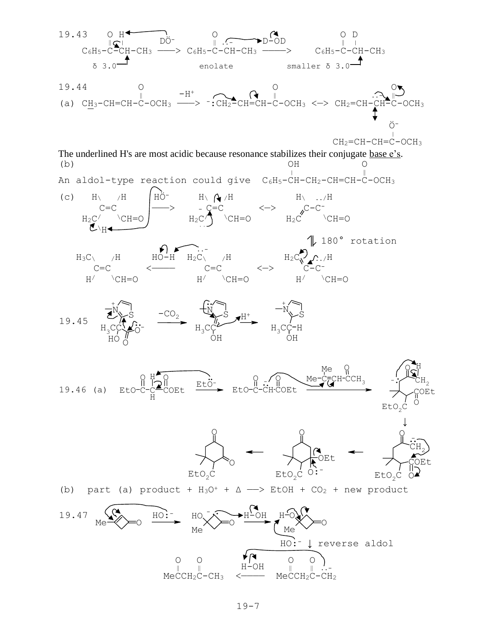